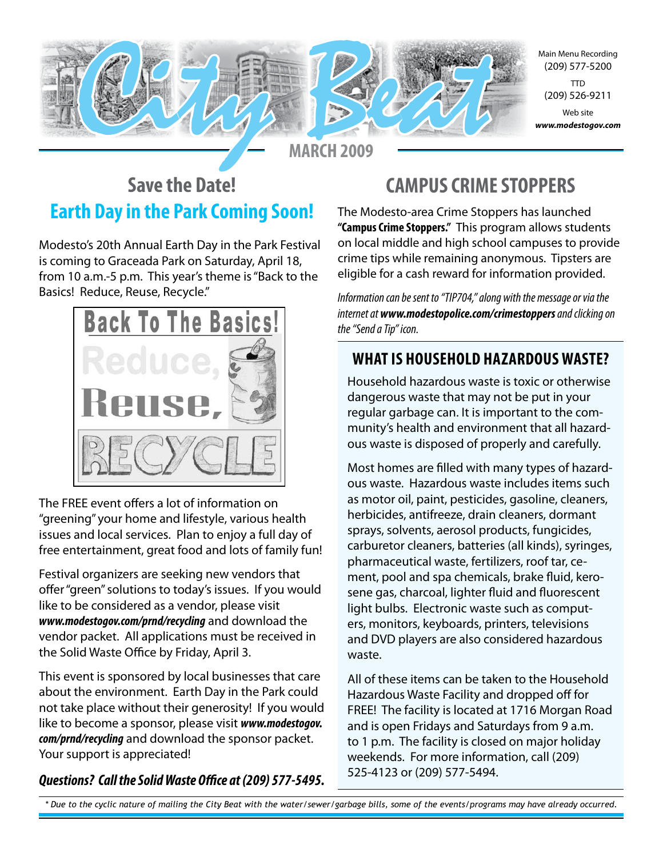

(209) 577-5200 (209) 526-9211 *www.modestogov.com*

#### **MARCH 2009**

### **Save the Date! Earth Day in the Park Coming Soon!**

Modesto's 20th Annual Earth Day in the Park Festival is coming to Graceada Park on Saturday, April 18, from 10 a.m.-5 p.m. This year's theme is "Back to the Basics! Reduce, Reuse, Recycle."



The FREE event offers a lot of information on "greening" your home and lifestyle, various health issues and local services. Plan to enjoy a full day of free entertainment, great food and lots of family fun!

Festival organizers are seeking new vendors that offer "green" solutions to today's issues. If you would like to be considered as a vendor, please visit *www.modestogov.com/prnd/recycling* and download the vendor packet. All applications must be received in the Solid Waste Office by Friday, April 3.

This event is sponsored by local businesses that care about the environment. Earth Day in the Park could not take place without their generosity! If you would like to become a sponsor, please visit *www.modestogov. com/prnd/recycling* and download the sponsor packet. Your support is appreciated!

#### *Questions? Call the Solid Waste Office at (209) 577-5495.*

# **CAMPUS CRIME STOPPERS**

The Modesto-area Crime Stoppers has launched **"Campus Crime Stoppers."** This program allows students on local middle and high school campuses to provide crime tips while remaining anonymous. Tipsters are eligible for a cash reward for information provided.

*Information can be sent to "TIP704," along with the message or via the internet at www.modestopolice.com/crimestoppers and clicking on the "Send a Tip" icon.*

#### **What is Household Hazardous Waste?**

Household hazardous waste is toxic or otherwise dangerous waste that may not be put in your regular garbage can. It is important to the community's health and environment that all hazardous waste is disposed of properly and carefully.

Most homes are filled with many types of hazardous waste. Hazardous waste includes items such as motor oil, paint, pesticides, gasoline, cleaners, herbicides, antifreeze, drain cleaners, dormant sprays, solvents, aerosol products, fungicides, carburetor cleaners, batteries (all kinds), syringes, pharmaceutical waste, fertilizers, roof tar, cement, pool and spa chemicals, brake fluid, kerosene gas, charcoal, lighter fluid and fluorescent light bulbs. Electronic waste such as computers, monitors, keyboards, printers, televisions and DVD players are also considered hazardous waste.

All of these items can be taken to the Household Hazardous Waste Facility and dropped off for FREE! The facility is located at 1716 Morgan Road and is open Fridays and Saturdays from 9 a.m. to 1 p.m. The facility is closed on major holiday weekends. For more information, call (209) 525-4123 or (209) 577-5494.

*\* Due to the cyclic nature of mailing the City Beat with the water/sewer/garbage bills, some of the events/programs may have already occurred.*